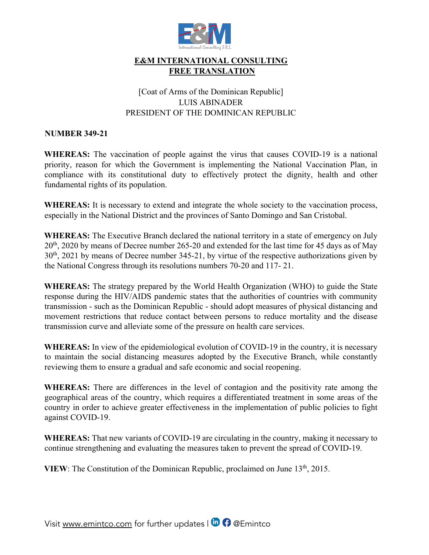

### **E&M INTERNATIONAL CONSULTING FREE TRANSLATION**

## [Coat of Arms of the Dominican Republic] LUIS ABINADER PRESIDENT OF THE DOMINICAN REPUBLIC

#### **NUMBER 349-21**

**WHEREAS:** The vaccination of people against the virus that causes COVID-19 is a national priority, reason for which the Government is implementing the National Vaccination Plan, in compliance with its constitutional duty to effectively protect the dignity, health and other fundamental rights of its population.

**WHEREAS:** It is necessary to extend and integrate the whole society to the vaccination process, especially in the National District and the provinces of Santo Domingo and San Cristobal.

**WHEREAS:** The Executive Branch declared the national territory in a state of emergency on July 20th, 2020 by means of Decree number 265-20 and extended for the last time for 45 days as of May 30th, 2021 by means of Decree number 345-21, by virtue of the respective authorizations given by the National Congress through its resolutions numbers 70-20 and 117- 21.

**WHEREAS:** The strategy prepared by the World Health Organization (WHO) to guide the State response during the HIV/AIDS pandemic states that the authorities of countries with community transmission - such as the Dominican Republic - should adopt measures of physical distancing and movement restrictions that reduce contact between persons to reduce mortality and the disease transmission curve and alleviate some of the pressure on health care services.

**WHEREAS:** In view of the epidemiological evolution of COVID-19 in the country, it is necessary to maintain the social distancing measures adopted by the Executive Branch, while constantly reviewing them to ensure a gradual and safe economic and social reopening.

**WHEREAS:** There are differences in the level of contagion and the positivity rate among the geographical areas of the country, which requires a differentiated treatment in some areas of the country in order to achieve greater effectiveness in the implementation of public policies to fight against COVID-19.

**WHEREAS:** That new variants of COVID-19 are circulating in the country, making it necessary to continue strengthening and evaluating the measures taken to prevent the spread of COVID-19.

**VIEW**: The Constitution of the Dominican Republic, proclaimed on June 13<sup>th</sup>, 2015.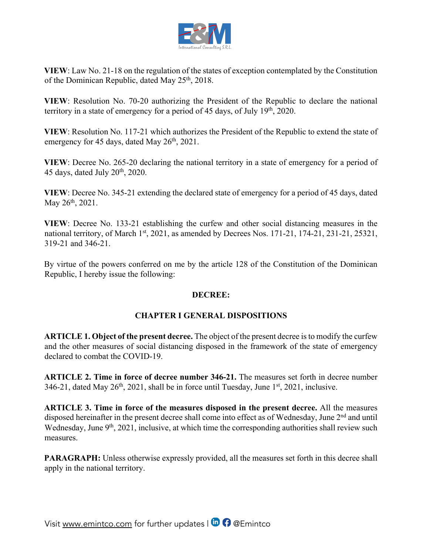

**VIEW**: Law No. 21-18 on the regulation of the states of exception contemplated by the Constitution of the Dominican Republic, dated May 25<sup>th</sup>, 2018.

**VIEW**: Resolution No. 70-20 authorizing the President of the Republic to declare the national territory in a state of emergency for a period of 45 days, of July 19<sup>th</sup>, 2020.

**VIEW**: Resolution No. 117-21 which authorizes the President of the Republic to extend the state of emergency for 45 days, dated May  $26<sup>th</sup>$ , 2021.

**VIEW**: Decree No. 265-20 declaring the national territory in a state of emergency for a period of 45 days, dated July  $20<sup>th</sup>$ , 2020.

**VIEW**: Decree No. 345-21 extending the declared state of emergency for a period of 45 days, dated May 26<sup>th</sup>, 2021.

**VIEW**: Decree No. 133-21 establishing the curfew and other social distancing measures in the national territory, of March 1st, 2021, as amended by Decrees Nos. 171-21, 174-21, 231-21, 25321, 319-21 and 346-21.

By virtue of the powers conferred on me by the article 128 of the Constitution of the Dominican Republic, I hereby issue the following:

#### **DECREE:**

## **CHAPTER I GENERAL DISPOSITIONS**

**ARTICLE 1. Object of the present decree.** The object of the present decree is to modify the curfew and the other measures of social distancing disposed in the framework of the state of emergency declared to combat the COVID-19.

**ARTICLE 2. Time in force of decree number 346-21.** The measures set forth in decree number  $346-21$ , dated May  $26<sup>th</sup>$ ,  $2021$ , shall be in force until Tuesday, June  $1<sup>st</sup>$ ,  $2021$ , inclusive.

**ARTICLE 3. Time in force of the measures disposed in the present decree.** All the measures disposed hereinafter in the present decree shall come into effect as of Wednesday, June 2<sup>nd</sup> and until Wednesday, June 9<sup>th</sup>, 2021, inclusive, at which time the corresponding authorities shall review such measures.

**PARAGRAPH:** Unless otherwise expressly provided, all the measures set forth in this decree shall apply in the national territory.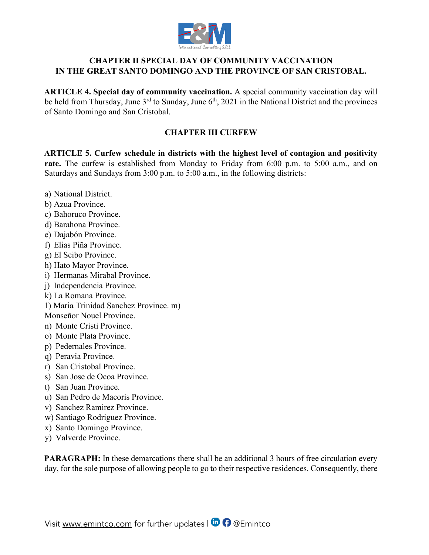

#### **CHAPTER II SPECIAL DAY OF COMMUNITY VACCINATION IN THE GREAT SANTO DOMINGO AND THE PROVINCE OF SAN CRISTOBAL.**

**ARTICLE 4. Special day of community vaccination.** A special community vaccination day will be held from Thursday, June  $3<sup>rd</sup>$  to Sunday, June  $6<sup>th</sup>$ , 2021 in the National District and the provinces of Santo Domingo and San Cristobal.

#### **CHAPTER III CURFEW**

**ARTICLE 5. Curfew schedule in districts with the highest level of contagion and positivity rate.** The curfew is established from Monday to Friday from 6:00 p.m. to 5:00 a.m., and on Saturdays and Sundays from 3:00 p.m. to 5:00 a.m., in the following districts:

- a) National District.
- b) Azua Province.
- c) Bahoruco Province.
- d) Barahona Province.
- e) Dajabón Province.
- f) Elias Piña Province.
- g) El Seibo Province.
- h) Hato Mayor Province.
- i) Hermanas Mirabal Province.
- j) Independencia Province.
- k) La Romana Province.
- 1) Maria Trinidad Sanchez Province. m)
- Monseñor Nouel Province.
- n) Monte Cristi Province.
- o) Monte Plata Province.
- p) Pedernales Province.
- q) Peravia Province.
- r) San Cristobal Province.
- s) San Jose de Ocoa Province.
- t) San Juan Province.
- u) San Pedro de Macorís Province.
- v) Sanchez Ramirez Province.
- w) Santiago Rodriguez Province.
- x) Santo Domingo Province.
- y) Valverde Province.

**PARAGRAPH:** In these demarcations there shall be an additional 3 hours of free circulation every day, for the sole purpose of allowing people to go to their respective residences. Consequently, there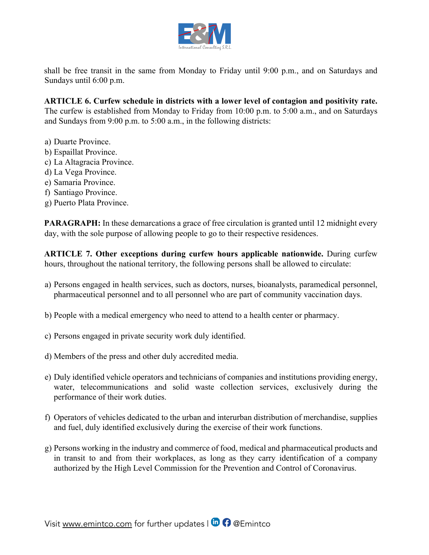

shall be free transit in the same from Monday to Friday until 9:00 p.m., and on Saturdays and Sundays until 6:00 p.m.

**ARTICLE 6. Curfew schedule in districts with a lower level of contagion and positivity rate.** The curfew is established from Monday to Friday from 10:00 p.m. to 5:00 a.m., and on Saturdays and Sundays from 9:00 p.m. to 5:00 a.m., in the following districts:

- a) Duarte Province.
- b) Espaillat Province.
- c) La Altagracia Province.
- d) La Vega Province.
- e) Samaria Province.
- f) Santiago Province.
- g) Puerto Plata Province.

**PARAGRAPH:** In these demarcations a grace of free circulation is granted until 12 midnight every day, with the sole purpose of allowing people to go to their respective residences.

**ARTICLE 7. Other exceptions during curfew hours applicable nationwide.** During curfew hours, throughout the national territory, the following persons shall be allowed to circulate:

- a) Persons engaged in health services, such as doctors, nurses, bioanalysts, paramedical personnel, pharmaceutical personnel and to all personnel who are part of community vaccination days.
- b) People with a medical emergency who need to attend to a health center or pharmacy.
- c) Persons engaged in private security work duly identified.
- d) Members of the press and other duly accredited media.
- e) Duly identified vehicle operators and technicians of companies and institutions providing energy, water, telecommunications and solid waste collection services, exclusively during the performance of their work duties.
- f) Operators of vehicles dedicated to the urban and interurban distribution of merchandise, supplies and fuel, duly identified exclusively during the exercise of their work functions.
- g) Persons working in the industry and commerce of food, medical and pharmaceutical products and in transit to and from their workplaces, as long as they carry identification of a company authorized by the High Level Commission for the Prevention and Control of Coronavirus.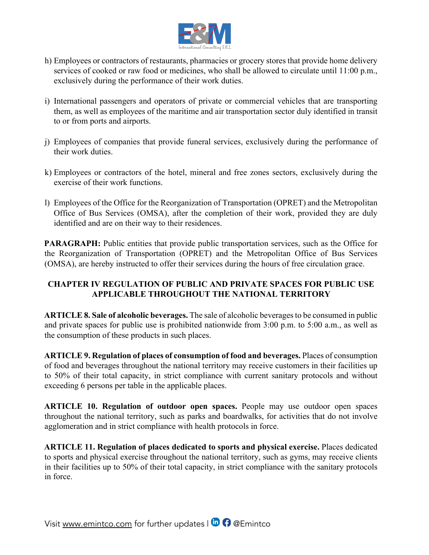

- h) Employees or contractors of restaurants, pharmacies or grocery stores that provide home delivery services of cooked or raw food or medicines, who shall be allowed to circulate until 11:00 p.m., exclusively during the performance of their work duties.
- i) International passengers and operators of private or commercial vehicles that are transporting them, as well as employees of the maritime and air transportation sector duly identified in transit to or from ports and airports.
- j) Employees of companies that provide funeral services, exclusively during the performance of their work duties.
- k) Employees or contractors of the hotel, mineral and free zones sectors, exclusively during the exercise of their work functions.
- l) Employees of the Office for the Reorganization of Transportation (OPRET) and the Metropolitan Office of Bus Services (OMSA), after the completion of their work, provided they are duly identified and are on their way to their residences.

**PARAGRAPH:** Public entities that provide public transportation services, such as the Office for the Reorganization of Transportation (OPRET) and the Metropolitan Office of Bus Services (OMSA), are hereby instructed to offer their services during the hours of free circulation grace.

## **CHAPTER IV REGULATION OF PUBLIC AND PRIVATE SPACES FOR PUBLIC USE APPLICABLE THROUGHOUT THE NATIONAL TERRITORY**

**ARTICLE 8. Sale of alcoholic beverages.** The sale of alcoholic beverages to be consumed in public and private spaces for public use is prohibited nationwide from 3:00 p.m. to 5:00 a.m., as well as the consumption of these products in such places.

**ARTICLE 9. Regulation of places of consumption of food and beverages.** Places of consumption of food and beverages throughout the national territory may receive customers in their facilities up to 50% of their total capacity, in strict compliance with current sanitary protocols and without exceeding 6 persons per table in the applicable places.

**ARTICLE 10. Regulation of outdoor open spaces.** People may use outdoor open spaces throughout the national territory, such as parks and boardwalks, for activities that do not involve agglomeration and in strict compliance with health protocols in force.

**ARTICLE 11. Regulation of places dedicated to sports and physical exercise.** Places dedicated to sports and physical exercise throughout the national territory, such as gyms, may receive clients in their facilities up to 50% of their total capacity, in strict compliance with the sanitary protocols in force.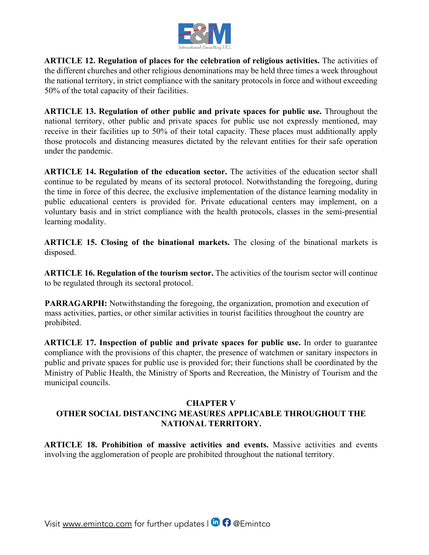

**ARTICLE 12. Regulation of places for the celebration of religious activities.** The activities of the different churches and other religious denominations may be held three times a week throughout the national territory, in strict compliance with the sanitary protocols in force and without exceeding 50% of the total capacity of their facilities.

**ARTICLE 13. Regulation of other public and private spaces for public use.** Throughout the national territory, other public and private spaces for public use not expressly mentioned, may receive in their facilities up to 50% of their total capacity. These places must additionally apply those protocols and distancing measures dictated by the relevant entities for their safe operation under the pandemic.

**ARTICLE 14. Regulation of the education sector.** The activities of the education sector shall continue to be regulated by means of its sectoral protocol. Notwithstanding the foregoing, during the time in force of this decree, the exclusive implementation of the distance learning modality in public educational centers is provided for. Private educational centers may implement, on a voluntary basis and in strict compliance with the health protocols, classes in the semi-presential learning modality.

**ARTICLE 15. Closing of the binational markets.** The closing of the binational markets is disposed.

**ARTICLE 16. Regulation of the tourism sector.** The activities of the tourism sector will continue to be regulated through its sectoral protocol.

**PARRAGARPH:** Notwithstanding the foregoing, the organization, promotion and execution of mass activities, parties, or other similar activities in tourist facilities throughout the country are prohibited.

**ARTICLE 17. Inspection of public and private spaces for public use.** In order to guarantee compliance with the provisions of this chapter, the presence of watchmen or sanitary inspectors in public and private spaces for public use is provided for; their functions shall be coordinated by the Ministry of Public Health, the Ministry of Sports and Recreation, the Ministry of Tourism and the municipal councils.

# **CHAPTER V OTHER SOCIAL DISTANCING MEASURES APPLICABLE THROUGHOUT THE NATIONAL TERRITORY.**

**ARTICLE 18. Prohibition of massive activities and events.** Massive activities and events involving the agglomeration of people are prohibited throughout the national territory.